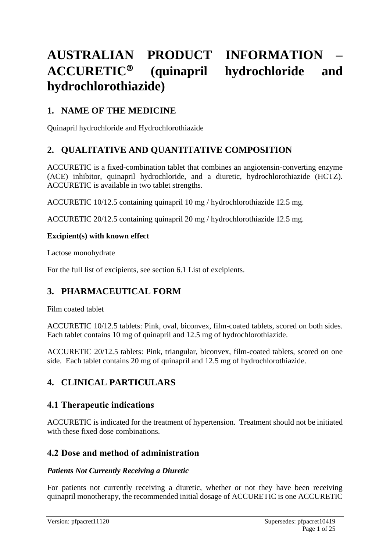# **AUSTRALIAN PRODUCT INFORMATION – ACCURETIC (quinapril hydrochloride and hydrochlorothiazide)**

# **1. NAME OF THE MEDICINE**

Quinapril hydrochloride and Hydrochlorothiazide

# **2. QUALITATIVE AND QUANTITATIVE COMPOSITION**

ACCURETIC is a fixed-combination tablet that combines an angiotensin-converting enzyme (ACE) inhibitor, quinapril hydrochloride, and a diuretic, hydrochlorothiazide (HCTZ). ACCURETIC is available in two tablet strengths.

ACCURETIC 10/12.5 containing quinapril 10 mg / hydrochlorothiazide 12.5 mg.

ACCURETIC 20/12.5 containing quinapril 20 mg / hydrochlorothiazide 12.5 mg.

#### **Excipient(s) with known effect**

Lactose monohydrate

For the full list of excipients, see section 6.1 List of excipients.

# **3. PHARMACEUTICAL FORM**

Film coated tablet

ACCURETIC 10/12.5 tablets: Pink, oval, biconvex, film-coated tablets, scored on both sides. Each tablet contains 10 mg of quinapril and 12.5 mg of hydrochlorothiazide.

ACCURETIC 20/12.5 tablets: Pink, triangular, biconvex, film-coated tablets, scored on one side. Each tablet contains 20 mg of quinapril and 12.5 mg of hydrochlorothiazide.

# **4. CLINICAL PARTICULARS**

# **4.1 Therapeutic indications**

ACCURETIC is indicated for the treatment of hypertension. Treatment should not be initiated with these fixed dose combinations.

# **4.2 Dose and method of administration**

### *Patients Not Currently Receiving a Diuretic*

For patients not currently receiving a diuretic, whether or not they have been receiving quinapril monotherapy, the recommended initial dosage of ACCURETIC is one ACCURETIC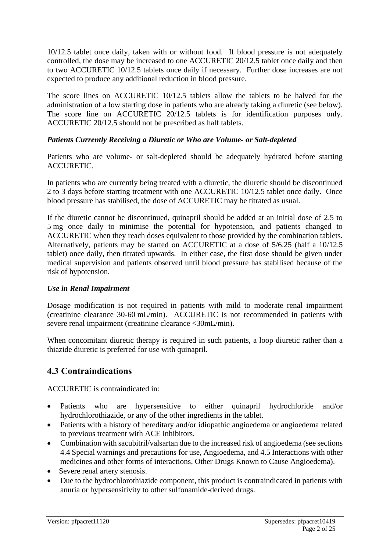10/12.5 tablet once daily, taken with or without food. If blood pressure is not adequately controlled, the dose may be increased to one ACCURETIC 20/12.5 tablet once daily and then to two ACCURETIC 10/12.5 tablets once daily if necessary. Further dose increases are not expected to produce any additional reduction in blood pressure.

The score lines on ACCURETIC 10/12.5 tablets allow the tablets to be halved for the administration of a low starting dose in patients who are already taking a diuretic (see below). The score line on ACCURETIC 20/12.5 tablets is for identification purposes only. ACCURETIC 20/12.5 should not be prescribed as half tablets.

#### *Patients Currently Receiving a Diuretic or Who are Volume- or Salt-depleted*

Patients who are volume- or salt-depleted should be adequately hydrated before starting ACCURETIC.

In patients who are currently being treated with a diuretic, the diuretic should be discontinued 2 to 3 days before starting treatment with one ACCURETIC 10/12.5 tablet once daily. Once blood pressure has stabilised, the dose of ACCURETIC may be titrated as usual.

If the diuretic cannot be discontinued, quinapril should be added at an initial dose of 2.5 to 5 mg once daily to minimise the potential for hypotension, and patients changed to ACCURETIC when they reach doses equivalent to those provided by the combination tablets. Alternatively, patients may be started on ACCURETIC at a dose of 5/6.25 (half a 10/12.5 tablet) once daily, then titrated upwards. In either case, the first dose should be given under medical supervision and patients observed until blood pressure has stabilised because of the risk of hypotension.

#### *Use in Renal Impairment*

Dosage modification is not required in patients with mild to moderate renal impairment (creatinine clearance 30-60 mL/min). ACCURETIC is not recommended in patients with severe renal impairment (creatinine clearance <30mL/min).

When concomitant diuretic therapy is required in such patients, a loop diuretic rather than a thiazide diuretic is preferred for use with quinapril.

# **4.3 Contraindications**

ACCURETIC is contraindicated in:

- Patients who are hypersensitive to either quinapril hydrochloride and/or hydrochlorothiazide, or any of the other ingredients in the tablet.
- Patients with a history of hereditary and/or idiopathic angioedema or angioedema related to previous treatment with ACE inhibitors.
- Combination with sacubitril/valsartan due to the increased risk of angioedema (see sections 4.4 Special warnings and precautions for use, Angioedema, and 4.5 Interactions with other medicines and other forms of interactions, Other Drugs Known to Cause Angioedema).
- Severe renal artery stenosis.
- Due to the hydrochlorothiazide component, this product is contraindicated in patients with anuria or hypersensitivity to other sulfonamide-derived drugs.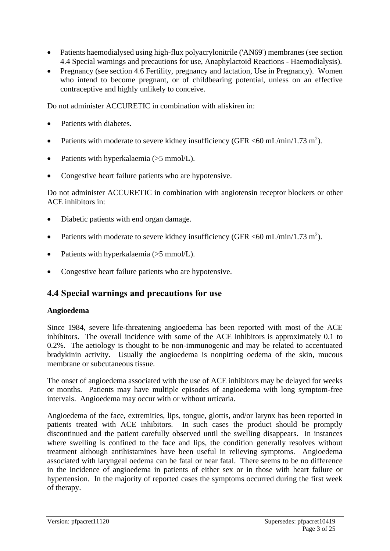- Patients haemodialysed using high-flux polyacrylonitrile ('AN69') membranes (see section 4.4 Special warnings and precautions for use, Anaphylactoid Reactions - Haemodialysis).
- Pregnancy (see section 4.6 Fertility, pregnancy and lactation, Use in Pregnancy). Women who intend to become pregnant, or of childbearing potential, unless on an effective contraceptive and highly unlikely to conceive.

Do not administer ACCURETIC in combination with aliskiren in:

- Patients with diabetes.
- Patients with moderate to severe kidney insufficiency (GFR <60 mL/min/1.73 m<sup>2</sup>).
- Patients with hyperkalaemia (>5 mmol/L).
- Congestive heart failure patients who are hypotensive.

Do not administer ACCURETIC in combination with angiotensin receptor blockers or other ACE inhibitors in:

- Diabetic patients with end organ damage.
- Patients with moderate to severe kidney insufficiency (GFR <60 mL/min/1.73 m<sup>2</sup>).
- Patients with hyperkalaemia (>5 mmol/L).
- Congestive heart failure patients who are hypotensive.

# **4.4 Special warnings and precautions for use**

#### **Angioedema**

Since 1984, severe life-threatening angioedema has been reported with most of the ACE inhibitors. The overall incidence with some of the ACE inhibitors is approximately 0.1 to 0.2%. The aetiology is thought to be non-immunogenic and may be related to accentuated bradykinin activity. Usually the angioedema is nonpitting oedema of the skin, mucous membrane or subcutaneous tissue.

The onset of angioedema associated with the use of ACE inhibitors may be delayed for weeks or months. Patients may have multiple episodes of angioedema with long symptom-free intervals. Angioedema may occur with or without urticaria.

Angioedema of the face, extremities, lips, tongue, glottis, and/or larynx has been reported in patients treated with ACE inhibitors. In such cases the product should be promptly discontinued and the patient carefully observed until the swelling disappears. In instances where swelling is confined to the face and lips, the condition generally resolves without treatment although antihistamines have been useful in relieving symptoms. Angioedema associated with laryngeal oedema can be fatal or near fatal. There seems to be no difference in the incidence of angioedema in patients of either sex or in those with heart failure or hypertension. In the majority of reported cases the symptoms occurred during the first week of therapy.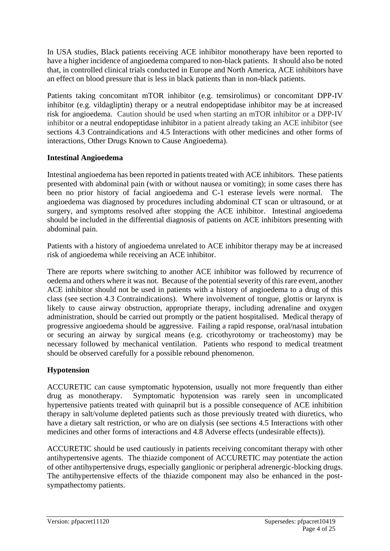In USA studies, Black patients receiving ACE inhibitor monotherapy have been reported to have a higher incidence of angioedema compared to non-black patients. It should also be noted that, in controlled clinical trials conducted in Europe and North America, ACE inhibitors have an effect on blood pressure that is less in black patients than in non-black patients.

Patients taking concomitant mTOR inhibitor (e.g. temsirolimus) or concomitant DPP-IV inhibitor (e.g. vildagliptin) therapy or a neutral endopeptidase inhibitor may be at increased risk for angioedema. Caution should be used when starting an mTOR inhibitor or a DPP-IV inhibitor or a neutral endopeptidase inhibitor in a patient already taking an ACE inhibitor (see sections 4.3 Contraindications and 4.5 Interactions with other medicines and other forms of interactions, Other Drugs Known to Cause Angioedema).

#### **Intestinal Angioedema**

Intestinal angioedema has been reported in patients treated with ACE inhibitors. These patients presented with abdominal pain (with or without nausea or vomiting); in some cases there has been no prior history of facial angioedema and C-1 esterase levels were normal. The angioedema was diagnosed by procedures including abdominal CT scan or ultrasound, or at surgery, and symptoms resolved after stopping the ACE inhibitor. Intestinal angioedema should be included in the differential diagnosis of patients on ACE inhibitors presenting with abdominal pain.

Patients with a history of angioedema unrelated to ACE inhibitor therapy may be at increased risk of angioedema while receiving an ACE inhibitor.

There are reports where switching to another ACE inhibitor was followed by recurrence of oedema and others where it was not. Because of the potential severity of this rare event, another ACE inhibitor should not be used in patients with a history of angioedema to a drug of this class (see section 4.3 Contraindications). Where involvement of tongue, glottis or larynx is likely to cause airway obstruction, appropriate therapy, including adrenaline and oxygen administration, should be carried out promptly or the patient hospitalised. Medical therapy of progressive angioedema should be aggressive. Failing a rapid response, oral/nasal intubation or securing an airway by surgical means (e.g. cricothyrotomy or tracheostomy) may be necessary followed by mechanical ventilation. Patients who respond to medical treatment should be observed carefully for a possible rebound phenomenon.

### **Hypotension**

ACCURETIC can cause symptomatic hypotension, usually not more frequently than either drug as monotherapy. Symptomatic hypotension was rarely seen in uncomplicated hypertensive patients treated with quinapril but is a possible consequence of ACE inhibition therapy in salt/volume depleted patients such as those previously treated with diuretics, who have a dietary salt restriction, or who are on dialysis (see sections 4.5 Interactions with other medicines and other forms of interactions and 4.8 Adverse effects (undesirable effects)).

ACCURETIC should be used cautiously in patients receiving concomitant therapy with other antihypertensive agents. The thiazide component of ACCURETIC may potentiate the action of other antihypertensive drugs, especially ganglionic or peripheral adrenergic-blocking drugs. The antihypertensive effects of the thiazide component may also be enhanced in the postsympathectomy patients.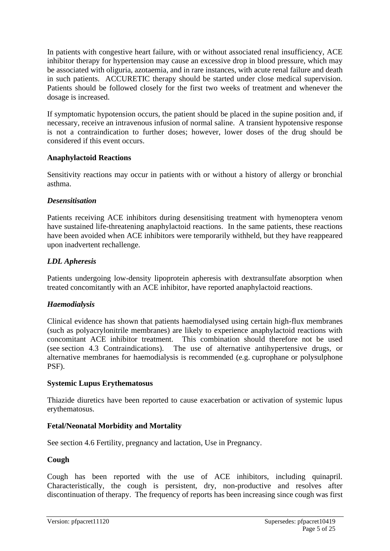In patients with congestive heart failure, with or without associated renal insufficiency, ACE inhibitor therapy for hypertension may cause an excessive drop in blood pressure, which may be associated with oliguria, azotaemia, and in rare instances, with acute renal failure and death in such patients. ACCURETIC therapy should be started under close medical supervision. Patients should be followed closely for the first two weeks of treatment and whenever the dosage is increased.

If symptomatic hypotension occurs, the patient should be placed in the supine position and, if necessary, receive an intravenous infusion of normal saline. A transient hypotensive response is not a contraindication to further doses; however, lower doses of the drug should be considered if this event occurs.

### **Anaphylactoid Reactions**

Sensitivity reactions may occur in patients with or without a history of allergy or bronchial asthma.

#### *Desensitisation*

Patients receiving ACE inhibitors during desensitising treatment with hymenoptera venom have sustained life-threatening anaphylactoid reactions. In the same patients, these reactions have been avoided when ACE inhibitors were temporarily withheld, but they have reappeared upon inadvertent rechallenge.

### *LDL Apheresis*

Patients undergoing low-density lipoprotein apheresis with dextransulfate absorption when treated concomitantly with an ACE inhibitor, have reported anaphylactoid reactions.

#### *Haemodialysis*

Clinical evidence has shown that patients haemodialysed using certain high-flux membranes (such as polyacrylonitrile membranes) are likely to experience anaphylactoid reactions with concomitant ACE inhibitor treatment. This combination should therefore not be used (see section 4.3 Contraindications). The use of alternative antihypertensive drugs, or alternative membranes for haemodialysis is recommended (e.g. cuprophane or polysulphone PSF).

#### **Systemic Lupus Erythematosus**

Thiazide diuretics have been reported to cause exacerbation or activation of systemic lupus erythematosus.

### **Fetal/Neonatal Morbidity and Mortality**

See section 4.6 Fertility, pregnancy and lactation, Use in Pregnancy.

### **Cough**

Cough has been reported with the use of ACE inhibitors, including quinapril. Characteristically, the cough is persistent, dry, non-productive and resolves after discontinuation of therapy. The frequency of reports has been increasing since cough was first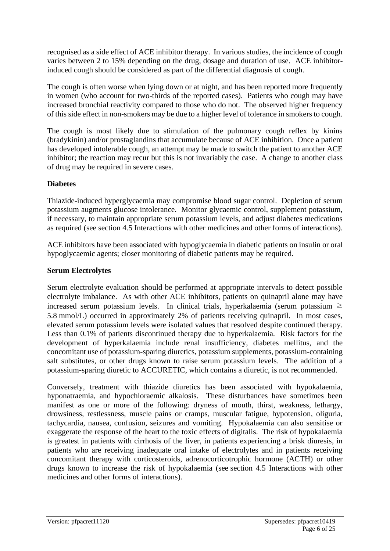recognised as a side effect of ACE inhibitor therapy. In various studies, the incidence of cough varies between 2 to 15% depending on the drug, dosage and duration of use. ACE inhibitorinduced cough should be considered as part of the differential diagnosis of cough.

The cough is often worse when lying down or at night, and has been reported more frequently in women (who account for two-thirds of the reported cases). Patients who cough may have increased bronchial reactivity compared to those who do not. The observed higher frequency of this side effect in non-smokers may be due to a higher level of tolerance in smokers to cough.

The cough is most likely due to stimulation of the pulmonary cough reflex by kinins (bradykinin) and/or prostaglandins that accumulate because of ACE inhibition. Once a patient has developed intolerable cough, an attempt may be made to switch the patient to another ACE inhibitor; the reaction may recur but this is not invariably the case. A change to another class of drug may be required in severe cases.

### **Diabetes**

Thiazide-induced hyperglycaemia may compromise blood sugar control. Depletion of serum potassium augments glucose intolerance. Monitor glycaemic control, supplement potassium, if necessary, to maintain appropriate serum potassium levels, and adjust diabetes medications as required (see section 4.5 Interactions with other medicines and other forms of interactions).

ACE inhibitors have been associated with hypoglycaemia in diabetic patients on insulin or oral hypoglycaemic agents; closer monitoring of diabetic patients may be required.

#### **Serum Electrolytes**

Serum electrolyte evaluation should be performed at appropriate intervals to detect possible electrolyte imbalance. As with other ACE inhibitors, patients on quinapril alone may have increased serum potassium levels. In clinical trials, hyperkalaemia (serum potassium  $\geq$ 5.8 mmol/L) occurred in approximately 2% of patients receiving quinapril. In most cases, elevated serum potassium levels were isolated values that resolved despite continued therapy. Less than 0.1% of patients discontinued therapy due to hyperkalaemia. Risk factors for the development of hyperkalaemia include renal insufficiency, diabetes mellitus, and the concomitant use of potassium-sparing diuretics, potassium supplements, potassium-containing salt substitutes, or other drugs known to raise serum potassium levels. The addition of a potassium-sparing diuretic to ACCURETIC, which contains a diuretic, is not recommended.

Conversely, treatment with thiazide diuretics has been associated with hypokalaemia, hyponatraemia, and hypochloraemic alkalosis. These disturbances have sometimes been manifest as one or more of the following: dryness of mouth, thirst, weakness, lethargy, drowsiness, restlessness, muscle pains or cramps, muscular fatigue, hypotension, oliguria, tachycardia, nausea, confusion, seizures and vomiting. Hypokalaemia can also sensitise or exaggerate the response of the heart to the toxic effects of digitalis. The risk of hypokalaemia is greatest in patients with cirrhosis of the liver, in patients experiencing a brisk diuresis, in patients who are receiving inadequate oral intake of electrolytes and in patients receiving concomitant therapy with corticosteroids, adrenocorticotrophic hormone (ACTH) or other drugs known to increase the risk of hypokalaemia (see section 4.5 Interactions with other medicines and other forms of interactions).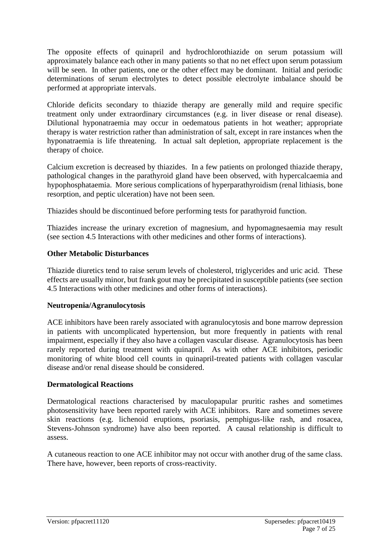The opposite effects of quinapril and hydrochlorothiazide on serum potassium will approximately balance each other in many patients so that no net effect upon serum potassium will be seen. In other patients, one or the other effect may be dominant. Initial and periodic determinations of serum electrolytes to detect possible electrolyte imbalance should be performed at appropriate intervals.

Chloride deficits secondary to thiazide therapy are generally mild and require specific treatment only under extraordinary circumstances (e.g. in liver disease or renal disease). Dilutional hyponatraemia may occur in oedematous patients in hot weather; appropriate therapy is water restriction rather than administration of salt, except in rare instances when the hyponatraemia is life threatening. In actual salt depletion, appropriate replacement is the therapy of choice.

Calcium excretion is decreased by thiazides. In a few patients on prolonged thiazide therapy, pathological changes in the parathyroid gland have been observed, with hypercalcaemia and hypophosphataemia. More serious complications of hyperparathyroidism (renal lithiasis, bone resorption, and peptic ulceration) have not been seen.

Thiazides should be discontinued before performing tests for parathyroid function.

Thiazides increase the urinary excretion of magnesium, and hypomagnesaemia may result (see section 4.5 Interactions with other medicines and other forms of interactions).

#### **Other Metabolic Disturbances**

Thiazide diuretics tend to raise serum levels of cholesterol, triglycerides and uric acid. These effects are usually minor, but frank gout may be precipitated in susceptible patients (see section 4.5 Interactions with other medicines and other forms of interactions).

#### **Neutropenia/Agranulocytosis**

ACE inhibitors have been rarely associated with agranulocytosis and bone marrow depression in patients with uncomplicated hypertension, but more frequently in patients with renal impairment, especially if they also have a collagen vascular disease. Agranulocytosis has been rarely reported during treatment with quinapril. As with other ACE inhibitors, periodic monitoring of white blood cell counts in quinapril-treated patients with collagen vascular disease and/or renal disease should be considered.

### **Dermatological Reactions**

Dermatological reactions characterised by maculopapular pruritic rashes and sometimes photosensitivity have been reported rarely with ACE inhibitors. Rare and sometimes severe skin reactions (e.g. lichenoid eruptions, psoriasis, pemphigus-like rash, and rosacea, Stevens-Johnson syndrome) have also been reported. A causal relationship is difficult to assess.

A cutaneous reaction to one ACE inhibitor may not occur with another drug of the same class. There have, however, been reports of cross-reactivity.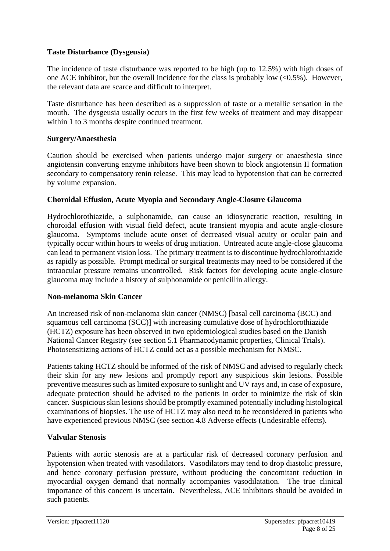#### **Taste Disturbance (Dysgeusia)**

The incidence of taste disturbance was reported to be high (up to 12.5%) with high doses of one ACE inhibitor, but the overall incidence for the class is probably low  $\langle 0.5\% \rangle$ . However, the relevant data are scarce and difficult to interpret.

Taste disturbance has been described as a suppression of taste or a metallic sensation in the mouth. The dysgeusia usually occurs in the first few weeks of treatment and may disappear within 1 to 3 months despite continued treatment.

#### **Surgery/Anaesthesia**

Caution should be exercised when patients undergo major surgery or anaesthesia since angiotensin converting enzyme inhibitors have been shown to block angiotensin II formation secondary to compensatory renin release. This may lead to hypotension that can be corrected by volume expansion.

#### **Choroidal Effusion, Acute Myopia and Secondary Angle-Closure Glaucoma**

Hydrochlorothiazide, a sulphonamide, can cause an idiosyncratic reaction, resulting in choroidal effusion with visual field defect, acute transient myopia and acute angle-closure glaucoma. Symptoms include acute onset of decreased visual acuity or ocular pain and typically occur within hours to weeks of drug initiation. Untreated acute angle-close glaucoma can lead to permanent vision loss. The primary treatment is to discontinue hydrochlorothiazide as rapidly as possible. Prompt medical or surgical treatments may need to be considered if the intraocular pressure remains uncontrolled. Risk factors for developing acute angle-closure glaucoma may include a history of sulphonamide or penicillin allergy.

#### **Non-melanoma Skin Cancer**

An increased risk of non-melanoma skin cancer (NMSC) [basal cell carcinoma (BCC) and squamous cell carcinoma (SCC)] with increasing cumulative dose of hydrochlorothiazide (HCTZ) exposure has been observed in two epidemiological studies based on the Danish National Cancer Registry (see section 5.1 Pharmacodynamic properties, Clinical Trials). Photosensitizing actions of HCTZ could act as a possible mechanism for NMSC.

Patients taking HCTZ should be informed of the risk of NMSC and advised to regularly check their skin for any new lesions and promptly report any suspicious skin lesions. Possible preventive measures such as limited exposure to sunlight and UV rays and, in case of exposure, adequate protection should be advised to the patients in order to minimize the risk of skin cancer. Suspicious skin lesions should be promptly examined potentially including histological examinations of biopsies. The use of HCTZ may also need to be reconsidered in patients who have experienced previous NMSC (see section 4.8 Adverse effects (Undesirable effects).

#### **Valvular Stenosis**

Patients with aortic stenosis are at a particular risk of decreased coronary perfusion and hypotension when treated with vasodilators. Vasodilators may tend to drop diastolic pressure, and hence coronary perfusion pressure, without producing the concomitant reduction in myocardial oxygen demand that normally accompanies vasodilatation. The true clinical importance of this concern is uncertain. Nevertheless, ACE inhibitors should be avoided in such patients.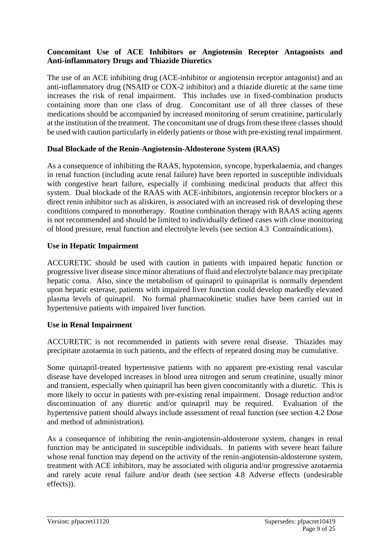#### **Concomitant Use of ACE Inhibitors or Angiotensin Receptor Antagonists and Anti-inflammatory Drugs and Thiazide Diuretics**

The use of an ACE inhibiting drug (ACE-inhibitor or angiotensin receptor antagonist) and an anti-inflammatory drug (NSAID or COX-2 inhibitor) and a thiazide diuretic at the same time increases the risk of renal impairment. This includes use in fixed-combination products containing more than one class of drug. Concomitant use of all three classes of these medications should be accompanied by increased monitoring of serum creatinine, particularly at the institution of the treatment. The concomitant use of drugs from these three classes should be used with caution particularly in elderly patients or those with pre-existing renal impairment.

#### **Dual Blockade of the Renin-Angiotensin-Aldosterone System (RAAS)**

As a consequence of inhibiting the RAAS, hypotension, syncope, hyperkalaemia, and changes in renal function (including acute renal failure) have been reported in susceptible individuals with congestive heart failure, especially if combining medicinal products that affect this system. Dual blockade of the RAAS with ACE-inhibitors, angiotensin receptor blockers or a direct renin inhibitor such as aliskiren, is associated with an increased risk of developing these conditions compared to monotherapy. Routine combination therapy with RAAS acting agents is not recommended and should be limited to individually defined cases with close monitoring of blood pressure, renal function and electrolyte levels (see section 4.3 Contraindications).

#### **Use in Hepatic Impairment**

ACCURETIC should be used with caution in patients with impaired hepatic function or progressive liver disease since minor alterations of fluid and electrolyte balance may precipitate hepatic coma. Also, since the metabolism of quinapril to quinaprilat is normally dependent upon hepatic esterase, patients with impaired liver function could develop markedly elevated plasma levels of quinapril. No formal pharmacokinetic studies have been carried out in hypertensive patients with impaired liver function.

#### **Use in Renal Impairment**

ACCURETIC is not recommended in patients with severe renal disease. Thiazides may precipitate azotaemia in such patients, and the effects of repeated dosing may be cumulative.

Some quinapril-treated hypertensive patients with no apparent pre-existing renal vascular disease have developed increases in blood urea nitrogen and serum creatinine, usually minor and transient, especially when quinapril has been given concomitantly with a diuretic. This is more likely to occur in patients with pre-existing renal impairment. Dosage reduction and/or discontinuation of any diuretic and/or quinapril may be required. Evaluation of the hypertensive patient should always include assessment of renal function (see section 4.2 Dose and method of administration).

As a consequence of inhibiting the renin-angiotensin-aldosterone system, changes in renal function may be anticipated in susceptible individuals. In patients with severe heart failure whose renal function may depend on the activity of the renin-angiotensin-aldosterone system, treatment with ACE inhibitors, may be associated with oliguria and/or progressive azotaemia and rarely acute renal failure and/or death (see section 4.8 Adverse effects (undesirable effects)).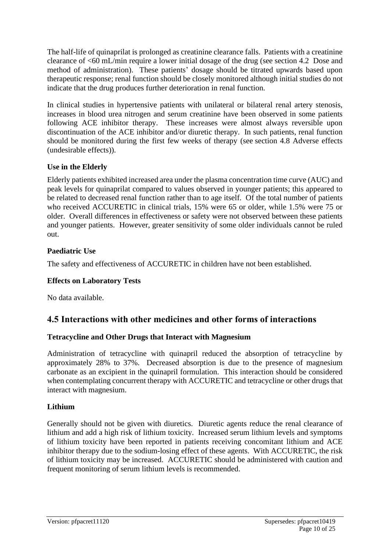The half-life of quinaprilat is prolonged as creatinine clearance falls. Patients with a creatinine clearance of  $\leq 60$  mL/min require a lower initial dosage of the drug (see section 4.2 Dose and method of administration). These patients' dosage should be titrated upwards based upon therapeutic response; renal function should be closely monitored although initial studies do not indicate that the drug produces further deterioration in renal function.

In clinical studies in hypertensive patients with unilateral or bilateral renal artery stenosis, increases in blood urea nitrogen and serum creatinine have been observed in some patients following ACE inhibitor therapy. These increases were almost always reversible upon discontinuation of the ACE inhibitor and/or diuretic therapy. In such patients, renal function should be monitored during the first few weeks of therapy (see section 4.8 Adverse effects (undesirable effects)).

### **Use in the Elderly**

Elderly patients exhibited increased area under the plasma concentration time curve (AUC) and peak levels for quinaprilat compared to values observed in younger patients; this appeared to be related to decreased renal function rather than to age itself. Of the total number of patients who received ACCURETIC in clinical trials, 15% were 65 or older, while 1.5% were 75 or older. Overall differences in effectiveness or safety were not observed between these patients and younger patients. However, greater sensitivity of some older individuals cannot be ruled out.

### **Paediatric Use**

The safety and effectiveness of ACCURETIC in children have not been established.

### **Effects on Laboratory Tests**

No data available.

# **4.5 Interactions with other medicines and other forms of interactions**

### **Tetracycline and Other Drugs that Interact with Magnesium**

Administration of tetracycline with quinapril reduced the absorption of tetracycline by approximately 28% to 37%. Decreased absorption is due to the presence of magnesium carbonate as an excipient in the quinapril formulation. This interaction should be considered when contemplating concurrent therapy with ACCURETIC and tetracycline or other drugs that interact with magnesium.

### **Lithium**

Generally should not be given with diuretics. Diuretic agents reduce the renal clearance of lithium and add a high risk of lithium toxicity. Increased serum lithium levels and symptoms of lithium toxicity have been reported in patients receiving concomitant lithium and ACE inhibitor therapy due to the sodium-losing effect of these agents. With ACCURETIC, the risk of lithium toxicity may be increased. ACCURETIC should be administered with caution and frequent monitoring of serum lithium levels is recommended.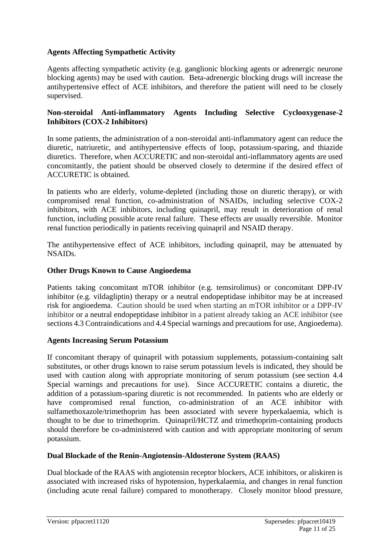#### **Agents Affecting Sympathetic Activity**

Agents affecting sympathetic activity (e.g. ganglionic blocking agents or adrenergic neurone blocking agents) may be used with caution. Beta-adrenergic blocking drugs will increase the antihypertensive effect of ACE inhibitors, and therefore the patient will need to be closely supervised.

#### **Non-steroidal Anti-inflammatory Agents Including Selective Cyclooxygenase-2 Inhibitors (COX-2 Inhibitors)**

In some patients, the administration of a non-steroidal anti-inflammatory agent can reduce the diuretic, natriuretic, and antihypertensive effects of loop, potassium-sparing, and thiazide diuretics. Therefore, when ACCURETIC and non-steroidal anti-inflammatory agents are used concomitantly, the patient should be observed closely to determine if the desired effect of ACCURETIC is obtained.

In patients who are elderly, volume-depleted (including those on diuretic therapy), or with compromised renal function, co-administration of NSAIDs, including selective COX-2 inhibitors, with ACE inhibitors, including quinapril, may result in deterioration of renal function, including possible acute renal failure. These effects are usually reversible. Monitor renal function periodically in patients receiving quinapril and NSAID therapy.

The antihypertensive effect of ACE inhibitors, including quinapril, may be attenuated by NSAIDs.

#### **Other Drugs Known to Cause Angioedema**

Patients taking concomitant mTOR inhibitor (e.g. temsirolimus) or concomitant DPP-IV inhibitor (e.g. vildagliptin) therapy or a neutral endopeptidase inhibitor may be at increased risk for angioedema. Caution should be used when starting an mTOR inhibitor or a DPP-IV inhibitor or a neutral endopeptidase inhibitor in a patient already taking an ACE inhibitor (see sections 4.3 Contraindications and 4.4 Special warnings and precautions for use, Angioedema).

#### **Agents Increasing Serum Potassium**

If concomitant therapy of quinapril with potassium supplements, potassium-containing salt substitutes, or other drugs known to raise serum potassium levels is indicated, they should be used with caution along with appropriate monitoring of serum potassium (see section 4.4 Special warnings and precautions for use). Since ACCURETIC contains a diuretic, the addition of a potassium-sparing diuretic is not recommended. In patients who are elderly or have compromised renal function, co-administration of an ACE inhibitor with sulfamethoxazole/trimethoprim has been associated with severe hyperkalaemia, which is thought to be due to trimethoprim. Quinapril/HCTZ and trimethoprim-containing products should therefore be co-administered with caution and with appropriate monitoring of serum potassium.

#### **Dual Blockade of the Renin-Angiotensin-Aldosterone System (RAAS)**

Dual blockade of the RAAS with angiotensin receptor blockers, ACE inhibitors, or aliskiren is associated with increased risks of hypotension, hyperkalaemia, and changes in renal function (including acute renal failure) compared to monotherapy. Closely monitor blood pressure,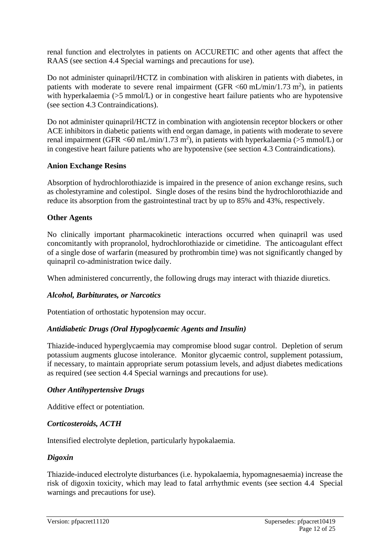renal function and electrolytes in patients on ACCURETIC and other agents that affect the RAAS (see section 4.4 Special warnings and precautions for use).

Do not administer quinapril/HCTZ in combination with aliskiren in patients with diabetes, in patients with moderate to severe renal impairment (GFR  $\langle 60 \text{ mL/min} / 1.73 \text{ m}^2 \rangle$ , in patients with hyperkalaemia (>5 mmol/L) or in congestive heart failure patients who are hypotensive (see section 4.3 Contraindications).

Do not administer quinapril/HCTZ in combination with angiotensin receptor blockers or other ACE inhibitors in diabetic patients with end organ damage, in patients with moderate to severe renal impairment (GFR <60 mL/min/1.73 m<sup>2</sup>), in patients with hyperkalaemia (>5 mmol/L) or in congestive heart failure patients who are hypotensive (see section 4.3 Contraindications).

#### **Anion Exchange Resins**

Absorption of hydrochlorothiazide is impaired in the presence of anion exchange resins, such as cholestyramine and colestipol. Single doses of the resins bind the hydrochlorothiazide and reduce its absorption from the gastrointestinal tract by up to 85% and 43%, respectively.

#### **Other Agents**

No clinically important pharmacokinetic interactions occurred when quinapril was used concomitantly with propranolol, hydrochlorothiazide or cimetidine. The anticoagulant effect of a single dose of warfarin (measured by prothrombin time) was not significantly changed by quinapril co-administration twice daily.

When administered concurrently, the following drugs may interact with thiazide diuretics.

#### *Alcohol, Barbiturates, or Narcotics*

Potentiation of orthostatic hypotension may occur.

#### *Antidiabetic Drugs (Oral Hypoglycaemic Agents and Insulin)*

Thiazide-induced hyperglycaemia may compromise blood sugar control. Depletion of serum potassium augments glucose intolerance. Monitor glycaemic control, supplement potassium, if necessary, to maintain appropriate serum potassium levels, and adjust diabetes medications as required (see section 4.4 Special warnings and precautions for use).

#### *Other Antihypertensive Drugs*

Additive effect or potentiation.

#### *Corticosteroids, ACTH*

Intensified electrolyte depletion, particularly hypokalaemia.

#### *Digoxin*

Thiazide-induced electrolyte disturbances (i.e. hypokalaemia, hypomagnesaemia) increase the risk of digoxin toxicity, which may lead to fatal arrhythmic events (see section 4.4 Special warnings and precautions for use).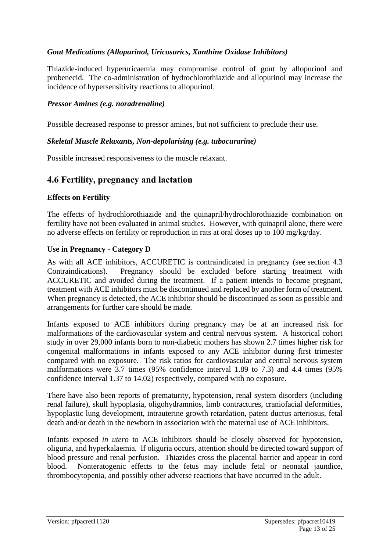### *Gout Medications (Allopurinol, Uricosurics, Xanthine Oxidase Inhibitors)*

Thiazide-induced hyperuricaemia may compromise control of gout by allopurinol and probenecid. The co-administration of hydrochlorothiazide and allopurinol may increase the incidence of hypersensitivity reactions to allopurinol.

#### *Pressor Amines (e.g. noradrenaline)*

Possible decreased response to pressor amines, but not sufficient to preclude their use.

#### *Skeletal Muscle Relaxants, Non-depolarising (e.g. tubocurarine)*

Possible increased responsiveness to the muscle relaxant.

### **4.6 Fertility, pregnancy and lactation**

#### **Effects on Fertility**

The effects of hydrochlorothiazide and the quinapril/hydrochlorothiazide combination on fertility have not been evaluated in animal studies. However, with quinapril alone, there were no adverse effects on fertility or reproduction in rats at oral doses up to 100 mg/kg/day.

#### **Use in Pregnancy - Category D**

As with all ACE inhibitors, ACCURETIC is contraindicated in pregnancy (see section 4.3 Contraindications). Pregnancy should be excluded before starting treatment with ACCURETIC and avoided during the treatment. If a patient intends to become pregnant, treatment with ACE inhibitors must be discontinued and replaced by another form of treatment. When pregnancy is detected, the ACE inhibitor should be discontinued as soon as possible and arrangements for further care should be made.

Infants exposed to ACE inhibitors during pregnancy may be at an increased risk for malformations of the cardiovascular system and central nervous system. A historical cohort study in over 29,000 infants born to non-diabetic mothers has shown 2.7 times higher risk for congenital malformations in infants exposed to any ACE inhibitor during first trimester compared with no exposure. The risk ratios for cardiovascular and central nervous system malformations were 3.7 times (95% confidence interval 1.89 to 7.3) and 4.4 times (95% confidence interval 1.37 to 14.02) respectively, compared with no exposure.

There have also been reports of prematurity, hypotension, renal system disorders (including renal failure), skull hypoplasia, oligohydramnios, limb contractures, craniofacial deformities, hypoplastic lung development, intrauterine growth retardation, patent ductus arteriosus, fetal death and/or death in the newborn in association with the maternal use of ACE inhibitors.

Infants exposed *in utero* to ACE inhibitors should be closely observed for hypotension, oliguria, and hyperkalaemia. If oliguria occurs, attention should be directed toward support of blood pressure and renal perfusion. Thiazides cross the placental barrier and appear in cord blood. Nonteratogenic effects to the fetus may include fetal or neonatal jaundice, thrombocytopenia, and possibly other adverse reactions that have occurred in the adult.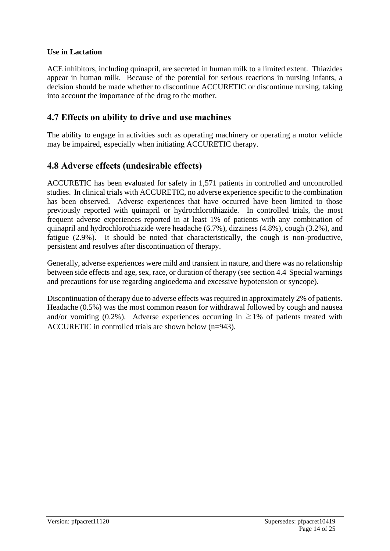#### **Use in Lactation**

ACE inhibitors, including quinapril, are secreted in human milk to a limited extent. Thiazides appear in human milk. Because of the potential for serious reactions in nursing infants, a decision should be made whether to discontinue ACCURETIC or discontinue nursing, taking into account the importance of the drug to the mother.

# **4.7 Effects on ability to drive and use machines**

The ability to engage in activities such as operating machinery or operating a motor vehicle may be impaired, especially when initiating ACCURETIC therapy.

# **4.8 Adverse effects (undesirable effects)**

ACCURETIC has been evaluated for safety in 1,571 patients in controlled and uncontrolled studies. In clinical trials with ACCURETIC, no adverse experience specific to the combination has been observed. Adverse experiences that have occurred have been limited to those previously reported with quinapril or hydrochlorothiazide. In controlled trials, the most frequent adverse experiences reported in at least 1% of patients with any combination of quinapril and hydrochlorothiazide were headache (6.7%), dizziness (4.8%), cough (3.2%), and fatigue (2.9%). It should be noted that characteristically, the cough is non-productive, persistent and resolves after discontinuation of therapy.

Generally, adverse experiences were mild and transient in nature, and there was no relationship between side effects and age, sex, race, or duration of therapy (see section 4.4 Special warnings and precautions for use regarding angioedema and excessive hypotension or syncope).

Discontinuation of therapy due to adverse effects was required in approximately 2% of patients. Headache (0.5%) was the most common reason for withdrawal followed by cough and nausea and/or vomiting (0.2%). Adverse experiences occurring in  $\geq$ 1% of patients treated with ACCURETIC in controlled trials are shown below (n=943).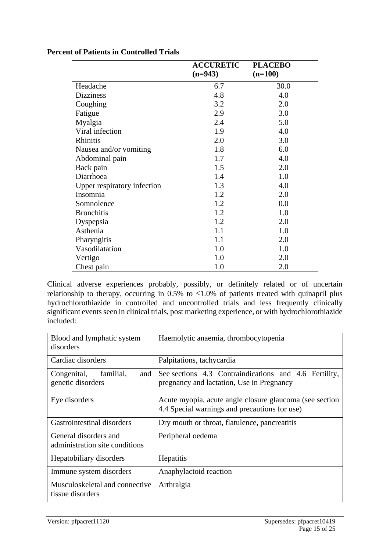|                             | <b>ACCURETIC</b><br>$(n=943)$ | <b>PLACEBO</b><br>$(n=100)$ |
|-----------------------------|-------------------------------|-----------------------------|
| Headache                    | 6.7                           | 30.0                        |
| <b>Dizziness</b>            | 4.8                           | 4.0                         |
| Coughing                    | 3.2                           | 2.0                         |
| Fatigue                     | 2.9                           | 3.0                         |
| Myalgia                     | 2.4                           | 5.0                         |
| Viral infection             | 1.9                           | 4.0                         |
| <b>Rhinitis</b>             | 2.0                           | 3.0                         |
| Nausea and/or vomiting      | 1.8                           | 6.0                         |
| Abdominal pain              | 1.7                           | 4.0                         |
| Back pain                   | 1.5                           | 2.0                         |
| Diarrhoea                   | 1.4                           | 1.0                         |
| Upper respiratory infection | 1.3                           | 4.0                         |
| Insomnia                    | 1.2                           | 2.0                         |
| Somnolence                  | 1.2                           | 0.0                         |
| <b>Bronchitis</b>           | 1.2                           | 1.0                         |
| Dyspepsia                   | 1.2                           | 2.0                         |
| Asthenia                    | 1.1                           | 1.0                         |
| Pharyngitis                 | 1.1                           | 2.0                         |
| Vasodilatation              | 1.0                           | 1.0                         |
| Vertigo                     | 1.0                           | 2.0                         |
| Chest pain                  | 1.0                           | 2.0                         |

#### **Percent of Patients in Controlled Trials**

Clinical adverse experiences probably, possibly, or definitely related or of uncertain relationship to therapy, occurring in 0.5% to  $\leq$ 1.0% of patients treated with quinapril plus hydrochlorothiazide in controlled and uncontrolled trials and less frequently clinically significant events seen in clinical trials, post marketing experience, or with hydrochlorothiazide included:

| Blood and lymphatic system<br>disorders                 | Haemolytic anaemia, thrombocytopenia                                                                     |
|---------------------------------------------------------|----------------------------------------------------------------------------------------------------------|
| Cardiac disorders                                       | Palpitations, tachycardia                                                                                |
| familial,<br>and<br>Congenital,<br>genetic disorders    | See sections 4.3 Contraindications and 4.6 Fertility,<br>pregnancy and lactation, Use in Pregnancy       |
| Eye disorders                                           | Acute myopia, acute angle closure glaucoma (see section<br>4.4 Special warnings and precautions for use) |
| Gastrointestinal disorders                              | Dry mouth or throat, flatulence, pancreatitis                                                            |
| General disorders and<br>administration site conditions | Peripheral oedema                                                                                        |
| Hepatobiliary disorders                                 | Hepatitis                                                                                                |
| Immune system disorders                                 | Anaphylactoid reaction                                                                                   |
| Musculoskeletal and connective<br>tissue disorders      | Arthralgia                                                                                               |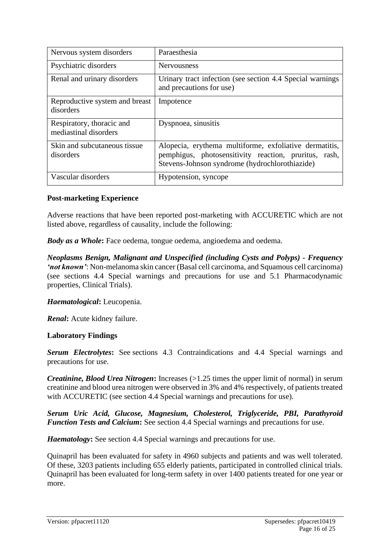| Nervous system disorders                           | Paraesthesia                                                                                                                                                      |
|----------------------------------------------------|-------------------------------------------------------------------------------------------------------------------------------------------------------------------|
| Psychiatric disorders                              | <b>Nervousness</b>                                                                                                                                                |
| Renal and urinary disorders                        | Urinary tract infection (see section 4.4 Special warnings<br>and precautions for use)                                                                             |
| Reproductive system and breast<br>disorders        | Impotence                                                                                                                                                         |
| Respiratory, thoracic and<br>mediastinal disorders | Dyspnoea, sinusitis                                                                                                                                               |
| Skin and subcutaneous tissue<br>disorders          | Alopecia, erythema multiforme, exfoliative dermatitis,<br>pemphigus, photosensitivity reaction, pruritus, rash,<br>Stevens-Johnson syndrome (hydrochlorothiazide) |
| Vascular disorders                                 | Hypotension, syncope                                                                                                                                              |

#### **Post-marketing Experience**

Adverse reactions that have been reported post-marketing with ACCURETIC which are not listed above, regardless of causality, include the following:

*Body as a Whole***:** Face oedema, tongue oedema, angioedema and oedema.

*Neoplasms Benign, Malignant and Unspecified (including Cysts and Polyps) - Frequency 'not known'*: Non-melanoma skin cancer (Basal cell carcinoma, and Squamous cell carcinoma) (see sections 4.4 Special warnings and precautions for use and 5.1 Pharmacodynamic properties, Clinical Trials).

*Haematological***:** Leucopenia.

*Renal***:** Acute kidney failure.

#### **Laboratory Findings**

*Serum Electrolytes***:** See sections 4.3 Contraindications and 4.4 Special warnings and precautions for use.

*Creatinine, Blood Urea Nitrogen*: Increases (>1.25 times the upper limit of normal) in serum creatinine and blood urea nitrogen were observed in 3% and 4% respectively, of patients treated with ACCURETIC (see section 4.4 Special warnings and precautions for use).

*Serum Uric Acid, Glucose, Magnesium, Cholesterol, Triglyceride, PBI, Parathyroid Function Tests and Calcium***:** See section 4.4 Special warnings and precautions for use.

*Haematology***:** See section 4.4 Special warnings and precautions for use.

Quinapril has been evaluated for safety in 4960 subjects and patients and was well tolerated. Of these, 3203 patients including 655 elderly patients, participated in controlled clinical trials. Quinapril has been evaluated for long-term safety in over 1400 patients treated for one year or more.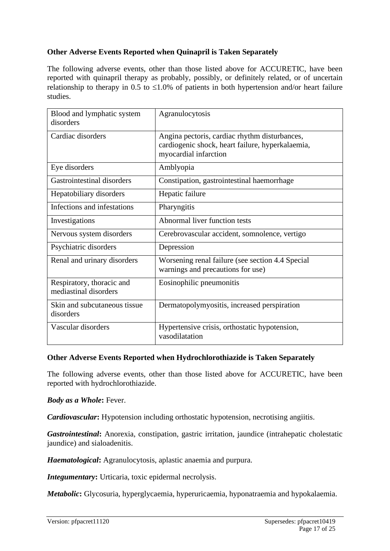### **Other Adverse Events Reported when Quinapril is Taken Separately**

The following adverse events, other than those listed above for ACCURETIC, have been reported with quinapril therapy as probably, possibly, or definitely related, or of uncertain relationship to therapy in 0.5 to  $\leq 1.0\%$  of patients in both hypertension and/or heart failure studies.

| Blood and lymphatic system<br>disorders            | Agranulocytosis                                                                                                            |
|----------------------------------------------------|----------------------------------------------------------------------------------------------------------------------------|
| Cardiac disorders                                  | Angina pectoris, cardiac rhythm disturbances,<br>cardiogenic shock, heart failure, hyperkalaemia,<br>myocardial infarction |
| Eye disorders                                      | Amblyopia                                                                                                                  |
| Gastrointestinal disorders                         | Constipation, gastrointestinal haemorrhage                                                                                 |
| Hepatobiliary disorders                            | Hepatic failure                                                                                                            |
| Infections and infestations                        | Pharyngitis                                                                                                                |
| Investigations                                     | Abnormal liver function tests                                                                                              |
| Nervous system disorders                           | Cerebrovascular accident, somnolence, vertigo                                                                              |
| Psychiatric disorders                              | Depression                                                                                                                 |
| Renal and urinary disorders                        | Worsening renal failure (see section 4.4 Special<br>warnings and precautions for use)                                      |
| Respiratory, thoracic and<br>mediastinal disorders | Eosinophilic pneumonitis                                                                                                   |
| Skin and subcutaneous tissue<br>disorders          | Dermatopolymyositis, increased perspiration                                                                                |
| Vascular disorders                                 | Hypertensive crisis, orthostatic hypotension,<br>vasodilatation                                                            |

#### **Other Adverse Events Reported when Hydrochlorothiazide is Taken Separately**

The following adverse events, other than those listed above for ACCURETIC, have been reported with hydrochlorothiazide.

*Body as a Whole***:** Fever.

*Cardiovascular***:** Hypotension including orthostatic hypotension, necrotising angiitis.

*Gastrointestinal***:** Anorexia, constipation, gastric irritation, jaundice (intrahepatic cholestatic jaundice) and sialoadenitis.

*Haematological***:** Agranulocytosis, aplastic anaemia and purpura.

*Integumentary***:** Urticaria, toxic epidermal necrolysis.

*Metabolic***:** Glycosuria, hyperglycaemia, hyperuricaemia, hyponatraemia and hypokalaemia.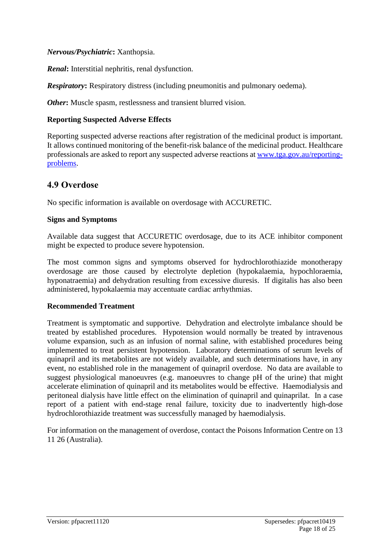*Nervous/Psychiatric***:** Xanthopsia.

*Renal***:** Interstitial nephritis, renal dysfunction.

*Respiratory***:** Respiratory distress (including pneumonitis and pulmonary oedema).

*Other*: Muscle spasm, restlessness and transient blurred vision.

#### **Reporting Suspected Adverse Effects**

Reporting suspected adverse reactions after registration of the medicinal product is important. It allows continued monitoring of the benefit-risk balance of the medicinal product. Healthcare professionals are asked to report any suspected adverse reactions at [www.tga.gov.au/reporting](http://www.tga.gov.au/reporting-problems)[problems.](http://www.tga.gov.au/reporting-problems)

# **4.9 Overdose**

No specific information is available on overdosage with ACCURETIC.

#### **Signs and Symptoms**

Available data suggest that ACCURETIC overdosage, due to its ACE inhibitor component might be expected to produce severe hypotension.

The most common signs and symptoms observed for hydrochlorothiazide monotherapy overdosage are those caused by electrolyte depletion (hypokalaemia, hypochloraemia, hyponatraemia) and dehydration resulting from excessive diuresis. If digitalis has also been administered, hypokalaemia may accentuate cardiac arrhythmias.

#### **Recommended Treatment**

Treatment is symptomatic and supportive. Dehydration and electrolyte imbalance should be treated by established procedures. Hypotension would normally be treated by intravenous volume expansion, such as an infusion of normal saline, with established procedures being implemented to treat persistent hypotension. Laboratory determinations of serum levels of quinapril and its metabolites are not widely available, and such determinations have, in any event, no established role in the management of quinapril overdose. No data are available to suggest physiological manoeuvres (e.g. manoeuvres to change pH of the urine) that might accelerate elimination of quinapril and its metabolites would be effective. Haemodialysis and peritoneal dialysis have little effect on the elimination of quinapril and quinaprilat. In a case report of a patient with end-stage renal failure, toxicity due to inadvertently high-dose hydrochlorothiazide treatment was successfully managed by haemodialysis.

For information on the management of overdose, contact the Poisons Information Centre on 13 11 26 (Australia).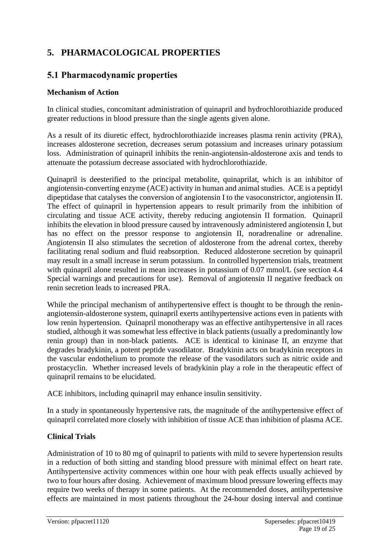# **5. PHARMACOLOGICAL PROPERTIES**

# **5.1 Pharmacodynamic properties**

### **Mechanism of Action**

In clinical studies, concomitant administration of quinapril and hydrochlorothiazide produced greater reductions in blood pressure than the single agents given alone.

As a result of its diuretic effect, hydrochlorothiazide increases plasma renin activity (PRA), increases aldosterone secretion, decreases serum potassium and increases urinary potassium loss. Administration of quinapril inhibits the renin-angiotensin-aldosterone axis and tends to attenuate the potassium decrease associated with hydrochlorothiazide.

Quinapril is deesterified to the principal metabolite, quinaprilat, which is an inhibitor of angiotensin-converting enzyme (ACE) activity in human and animal studies. ACE is a peptidyl dipeptidase that catalyses the conversion of angiotensin I to the vasoconstrictor, angiotensin II. The effect of quinapril in hypertension appears to result primarily from the inhibition of circulating and tissue ACE activity, thereby reducing angiotensin II formation. Quinapril inhibits the elevation in blood pressure caused by intravenously administered angiotensin I, but has no effect on the pressor response to angiotensin II, noradrenaline or adrenaline. Angiotensin II also stimulates the secretion of aldosterone from the adrenal cortex, thereby facilitating renal sodium and fluid reabsorption. Reduced aldosterone secretion by quinapril may result in a small increase in serum potassium. In controlled hypertension trials, treatment with quinapril alone resulted in mean increases in potassium of 0.07 mmol/L (see section 4.4 Special warnings and precautions for use). Removal of angiotensin II negative feedback on renin secretion leads to increased PRA.

While the principal mechanism of antihypertensive effect is thought to be through the reninangiotensin-aldosterone system, quinapril exerts antihypertensive actions even in patients with low renin hypertension. Quinapril monotherapy was an effective antihypertensive in all races studied, although it was somewhat less effective in black patients (usually a predominantly low renin group) than in non-black patients. ACE is identical to kininase II, an enzyme that degrades bradykinin, a potent peptide vasodilator. Bradykinin acts on bradykinin receptors in the vascular endothelium to promote the release of the vasodilators such as nitric oxide and prostacyclin. Whether increased levels of bradykinin play a role in the therapeutic effect of quinapril remains to be elucidated.

ACE inhibitors, including quinapril may enhance insulin sensitivity.

In a study in spontaneously hypertensive rats, the magnitude of the antihypertensive effect of quinapril correlated more closely with inhibition of tissue ACE than inhibition of plasma ACE.

### **Clinical Trials**

Administration of 10 to 80 mg of quinapril to patients with mild to severe hypertension results in a reduction of both sitting and standing blood pressure with minimal effect on heart rate. Antihypertensive activity commences within one hour with peak effects usually achieved by two to four hours after dosing. Achievement of maximum blood pressure lowering effects may require two weeks of therapy in some patients. At the recommended doses, antihypertensive effects are maintained in most patients throughout the 24-hour dosing interval and continue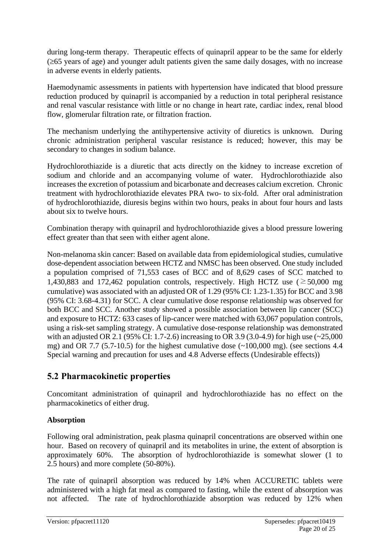during long-term therapy. Therapeutic effects of quinapril appear to be the same for elderly  $(\geq 65$  years of age) and younger adult patients given the same daily dosages, with no increase in adverse events in elderly patients.

Haemodynamic assessments in patients with hypertension have indicated that blood pressure reduction produced by quinapril is accompanied by a reduction in total peripheral resistance and renal vascular resistance with little or no change in heart rate, cardiac index, renal blood flow, glomerular filtration rate, or filtration fraction.

The mechanism underlying the antihypertensive activity of diuretics is unknown. During chronic administration peripheral vascular resistance is reduced; however, this may be secondary to changes in sodium balance.

Hydrochlorothiazide is a diuretic that acts directly on the kidney to increase excretion of sodium and chloride and an accompanying volume of water. Hydrochlorothiazide also increases the excretion of potassium and bicarbonate and decreases calcium excretion. Chronic treatment with hydrochlorothiazide elevates PRA two- to six-fold. After oral administration of hydrochlorothiazide, diuresis begins within two hours, peaks in about four hours and lasts about six to twelve hours.

Combination therapy with quinapril and hydrochlorothiazide gives a blood pressure lowering effect greater than that seen with either agent alone.

Non-melanoma skin cancer: Based on available data from epidemiological studies, cumulative dose-dependent association between HCTZ and NMSC has been observed. One study included a population comprised of 71,553 cases of BCC and of 8,629 cases of SCC matched to 1,430,883 and 172,462 population controls, respectively. High HCTZ use ( $\geq$  50,000 mg cumulative) was associated with an adjusted OR of 1.29 (95% CI: 1.23-1.35) for BCC and 3.98 (95% CI: 3.68-4.31) for SCC. A clear cumulative dose response relationship was observed for both BCC and SCC. Another study showed a possible association between lip cancer (SCC) and exposure to HCTZ: 633 cases of lip-cancer were matched with 63,067 population controls, using a risk-set sampling strategy. A cumulative dose-response relationship was demonstrated with an adjusted OR 2.1 (95% CI: 1.7-2.6) increasing to OR 3.9 (3.0-4.9) for high use (~25,000 mg) and OR 7.7 (5.7-10.5) for the highest cumulative dose  $(\sim 100,000$  mg). (see sections 4.4 Special warning and precaution for uses and 4.8 Adverse effects (Undesirable effects))

# **5.2 Pharmacokinetic properties**

Concomitant administration of quinapril and hydrochlorothiazide has no effect on the pharmacokinetics of either drug.

### **Absorption**

Following oral administration, peak plasma quinapril concentrations are observed within one hour. Based on recovery of quinapril and its metabolites in urine, the extent of absorption is approximately 60%. The absorption of hydrochlorothiazide is somewhat slower (1 to 2.5 hours) and more complete (50-80%).

The rate of quinapril absorption was reduced by 14% when ACCURETIC tablets were administered with a high fat meal as compared to fasting, while the extent of absorption was not affected. The rate of hydrochlorothiazide absorption was reduced by 12% when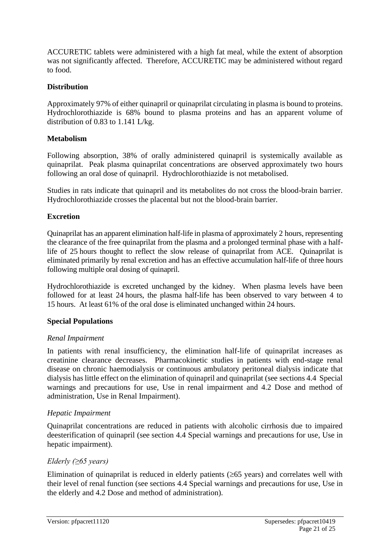ACCURETIC tablets were administered with a high fat meal, while the extent of absorption was not significantly affected. Therefore, ACCURETIC may be administered without regard to food.

#### **Distribution**

Approximately 97% of either quinapril or quinaprilat circulating in plasma is bound to proteins. Hydrochlorothiazide is 68% bound to plasma proteins and has an apparent volume of distribution of 0.83 to 1.141 L/kg.

#### **Metabolism**

Following absorption, 38% of orally administered quinapril is systemically available as quinaprilat. Peak plasma quinaprilat concentrations are observed approximately two hours following an oral dose of quinapril. Hydrochlorothiazide is not metabolised.

Studies in rats indicate that quinapril and its metabolites do not cross the blood-brain barrier. Hydrochlorothiazide crosses the placental but not the blood-brain barrier.

#### **Excretion**

Quinaprilat has an apparent elimination half-life in plasma of approximately 2 hours, representing the clearance of the free quinaprilat from the plasma and a prolonged terminal phase with a halflife of 25 hours thought to reflect the slow release of quinaprilat from ACE. Quinaprilat is eliminated primarily by renal excretion and has an effective accumulation half-life of three hours following multiple oral dosing of quinapril.

Hydrochlorothiazide is excreted unchanged by the kidney. When plasma levels have been followed for at least 24 hours, the plasma half-life has been observed to vary between 4 to 15 hours. At least 61% of the oral dose is eliminated unchanged within 24 hours.

#### **Special Populations**

#### *Renal Impairment*

In patients with renal insufficiency, the elimination half-life of quinaprilat increases as creatinine clearance decreases. Pharmacokinetic studies in patients with end-stage renal disease on chronic haemodialysis or continuous ambulatory peritoneal dialysis indicate that dialysis has little effect on the elimination of quinapril and quinaprilat (see sections 4.4 Special warnings and precautions for use, Use in renal impairment and 4.2 Dose and method of administration, Use in Renal Impairment).

#### *Hepatic Impairment*

Quinaprilat concentrations are reduced in patients with alcoholic cirrhosis due to impaired deesterification of quinapril (see section 4.4 Special warnings and precautions for use, Use in hepatic impairment).

#### *Elderly (≥65 years)*

Elimination of quinaprilat is reduced in elderly patients  $(\geq 65$  years) and correlates well with their level of renal function (see sections 4.4 Special warnings and precautions for use, Use in the elderly and 4.2 Dose and method of administration).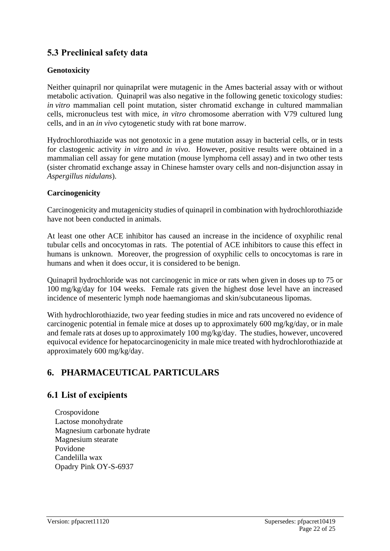# **5.3 Preclinical safety data**

#### **Genotoxicity**

Neither quinapril nor quinaprilat were mutagenic in the Ames bacterial assay with or without metabolic activation. Quinapril was also negative in the following genetic toxicology studies: *in vitro* mammalian cell point mutation, sister chromatid exchange in cultured mammalian cells, micronucleus test with mice, *in vitro* chromosome aberration with V79 cultured lung cells, and in an *in vivo* cytogenetic study with rat bone marrow.

Hydrochlorothiazide was not genotoxic in a gene mutation assay in bacterial cells, or in tests for clastogenic activity *in vitro* and *in vivo*. However, positive results were obtained in a mammalian cell assay for gene mutation (mouse lymphoma cell assay) and in two other tests (sister chromatid exchange assay in Chinese hamster ovary cells and non-disjunction assay in *Aspergillus nidulans*).

#### **Carcinogenicity**

Carcinogenicity and mutagenicity studies of quinapril in combination with hydrochlorothiazide have not been conducted in animals.

At least one other ACE inhibitor has caused an increase in the incidence of oxyphilic renal tubular cells and oncocytomas in rats. The potential of ACE inhibitors to cause this effect in humans is unknown. Moreover, the progression of oxyphilic cells to oncocytomas is rare in humans and when it does occur, it is considered to be benign.

Quinapril hydrochloride was not carcinogenic in mice or rats when given in doses up to 75 or 100 mg/kg/day for 104 weeks. Female rats given the highest dose level have an increased incidence of mesenteric lymph node haemangiomas and skin/subcutaneous lipomas.

With hydrochlorothiazide, two year feeding studies in mice and rats uncovered no evidence of carcinogenic potential in female mice at doses up to approximately 600 mg/kg/day, or in male and female rats at doses up to approximately 100 mg/kg/day. The studies, however, uncovered equivocal evidence for hepatocarcinogenicity in male mice treated with hydrochlorothiazide at approximately 600 mg/kg/day.

# **6. PHARMACEUTICAL PARTICULARS**

# **6.1 List of excipients**

Crospovidone Lactose monohydrate Magnesium carbonate hydrate Magnesium stearate Povidone Candelilla wax Opadry Pink OY-S-6937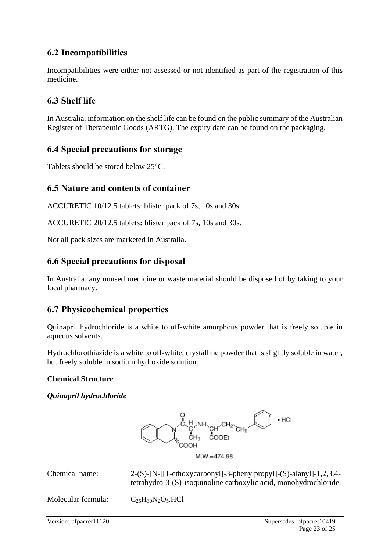# **6.2 Incompatibilities**

Incompatibilities were either not assessed or not identified as part of the registration of this medicine.

# **6.3 Shelf life**

In Australia, information on the shelf life can be found on the public summary of the Australian Register of Therapeutic Goods (ARTG). The expiry date can be found on the packaging.

# **6.4 Special precautions for storage**

Tablets should be stored below 25°C.

# **6.5 Nature and contents of container**

ACCURETIC 10/12.5 tablets: blister pack of 7s, 10s and 30s.

ACCURETIC 20/12.5 tablets**:** blister pack of 7s, 10s and 30s.

Not all pack sizes are marketed in Australia.

# **6.6 Special precautions for disposal**

In Australia, any unused medicine or waste material should be disposed of by taking to your local pharmacy.

# **6.7 Physicochemical properties**

Quinapril hydrochloride is a white to off-white amorphous powder that is freely soluble in aqueous solvents.

Hydrochlorothiazide is a white to off-white, crystalline powder that is slightly soluble in water, but freely soluble in sodium hydroxide solution.

#### **Chemical Structure**

#### *Quinapril hydrochloride*



Chemical name: 2-(S)-[N-[[1-ethoxycarbonyl]-3-phenylpropyl]-(S)-alanyl]-1,2,3,4 tetrahydro-3-(S)-isoquinoline carboxylic acid, monohydrochloride

Molecular formula:  $C_25H_{30}N_2O_5.HCl$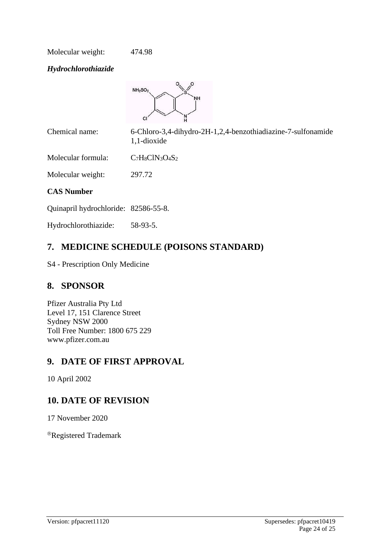Molecular weight: 474.98

*Hydrochlorothiazide*



Chemical name: 6-Chloro-3,4-dihydro-2H-1,2,4-benzothiadiazine-7-sulfonamide 1,1-dioxide

Molecular formula:  $C_7H_8CIN_3O_4S_2$ 

Molecular weight: 297.72

#### **CAS Number**

Quinapril hydrochloride: 82586-55-8.

Hydrochlorothiazide: 58-93-5.

# **7. MEDICINE SCHEDULE (POISONS STANDARD)**

S4 - Prescription Only Medicine

# **8. SPONSOR**

Pfizer Australia Pty Ltd Level 17, 151 Clarence Street Sydney NSW 2000 Toll Free Number: 1800 675 229 www.pfizer.com.au

# **9. DATE OF FIRST APPROVAL**

10 April 2002

# **10. DATE OF REVISION**

17 November 2020

Registered Trademark